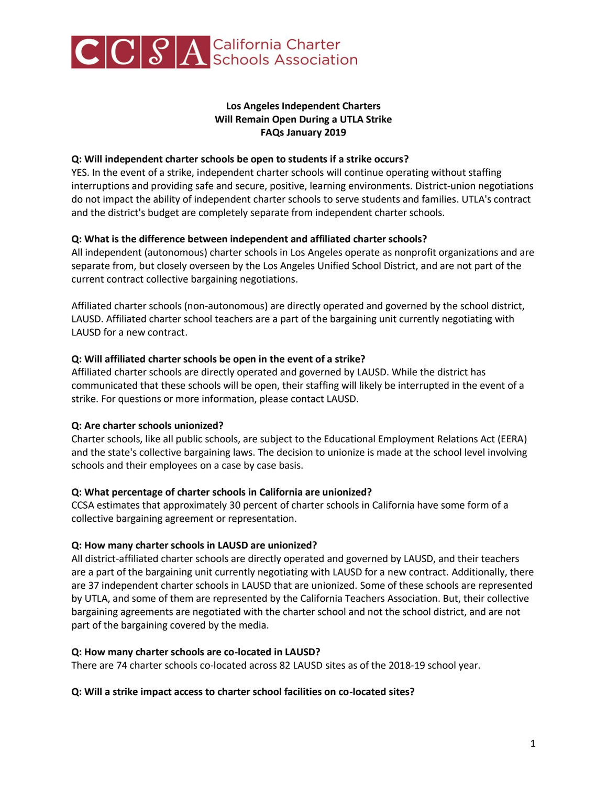

# **Los Angeles Independent Charters Will Remain Open During a UTLA Strike FAQs January 2019**

## **Q: Will independent charter schools be open to students if a strike occurs?**

YES. In the event of a strike, independent charter schools will continue operating without staffing interruptions and providing safe and secure, positive, learning environments. District-union negotiations do not impact the ability of independent charter schools to serve students and families. UTLA's contract and the district's budget are completely separate from independent charter schools.

## **Q: What is the difference between independent and affiliated charter schools?**

All independent (autonomous) charter schools in Los Angeles operate as nonprofit organizations and are separate from, but closely overseen by the Los Angeles Unified School District, and are not part of the current contract collective bargaining negotiations.

Affiliated charter schools (non-autonomous) are directly operated and governed by the school district, LAUSD. Affiliated charter school teachers are a part of the bargaining unit currently negotiating with LAUSD for a new contract.

## **Q: Will affiliated charter schools be open in the event of a strike?**

Affiliated charter schools are directly operated and governed by LAUSD. While the district has communicated that these schools will be open, their staffing will likely be interrupted in the event of a strike. For questions or more information, please contact LAUSD.

# **Q: Are charter schools unionized?**

Charter schools, like all public schools, are subject to the Educational Employment Relations Act (EERA) and the state's collective bargaining laws. The decision to unionize is made at the school level involving schools and their employees on a case by case basis.

#### **Q: What percentage of charter schools in California are unionized?**

CCSA estimates that approximately 30 percent of charter schools in California have some form of a collective bargaining agreement or representation.

# **Q: How many charter schools in LAUSD are unionized?**

All district-affiliated charter schools are directly operated and governed by LAUSD, and their teachers are a part of the bargaining unit currently negotiating with LAUSD for a new contract. Additionally, there are 37 independent charter schools in LAUSD that are unionized. Some of these schools are represented by UTLA, and some of them are represented by the California Teachers Association. But, their collective bargaining agreements are negotiated with the charter school and not the school district, and are not part of the bargaining covered by the media.

#### **Q: How many charter schools are co-located in LAUSD?**

There are 74 charter schools co-located across 82 LAUSD sites as of the 2018-19 school year.

#### **Q: Will a strike impact access to charter school facilities on co-located sites?**